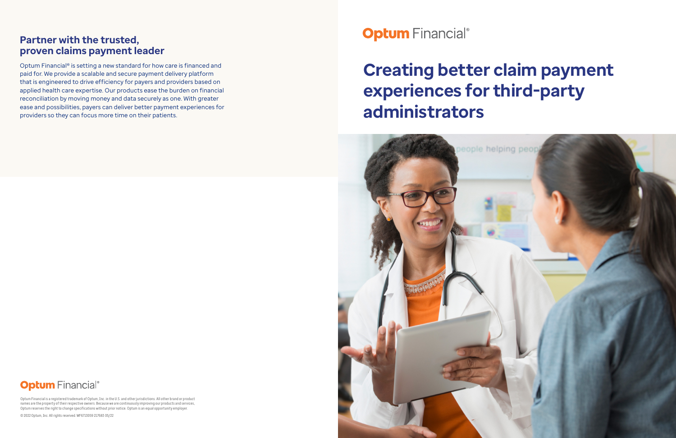# **Creating better claim payment experiences for third-party administrators**



## **Optum** Financial®

## **Partner with the trusted, proven claims payment leader**

Optum Financial® is setting a new standard for how care is financed and paid for. We provide a scalable and secure payment delivery platform that is engineered to drive efficiency for payers and providers based on applied health care expertise. Our products ease the burden on financial reconciliation by moving money and data securely as one. With greater ease and possibilities, payers can deliver better payment experiences for providers so they can focus more time on their patients.



Optum Financial is a registered trademark of Optum, Inc. in the U.S. and other jurisdictions. All other brand or product names are the property of their respective owners. Because we are continuously improving our products and services, Optum reserves the right to change specifications without prior notice. Optum is an equal opportunity employer.

© 2022 Optum, Inc. All rights reserved. WF6713059 217683 05/22